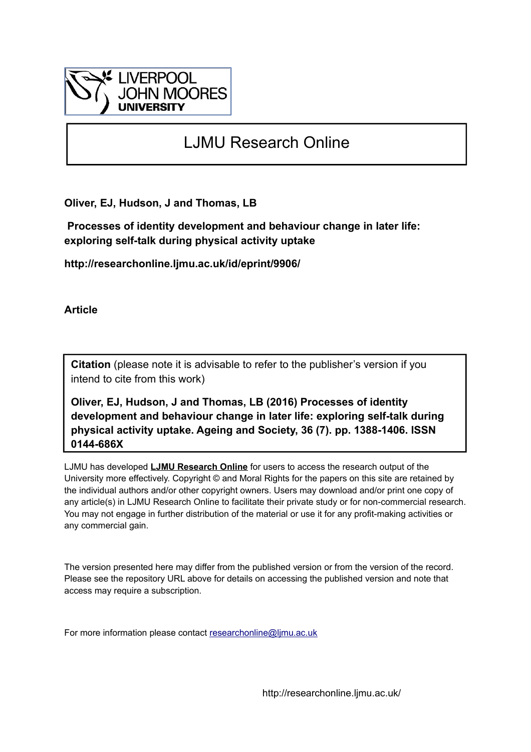

# LJMU Research Online

**Oliver, EJ, Hudson, J and Thomas, LB**

 **Processes of identity development and behaviour change in later life: exploring self-talk during physical activity uptake**

**http://researchonline.ljmu.ac.uk/id/eprint/9906/**

**Article**

**Citation** (please note it is advisable to refer to the publisher's version if you intend to cite from this work)

**Oliver, EJ, Hudson, J and Thomas, LB (2016) Processes of identity development and behaviour change in later life: exploring self-talk during physical activity uptake. Ageing and Society, 36 (7). pp. 1388-1406. ISSN 0144-686X** 

LJMU has developed **[LJMU Research Online](http://researchonline.ljmu.ac.uk/)** for users to access the research output of the University more effectively. Copyright © and Moral Rights for the papers on this site are retained by the individual authors and/or other copyright owners. Users may download and/or print one copy of any article(s) in LJMU Research Online to facilitate their private study or for non-commercial research. You may not engage in further distribution of the material or use it for any profit-making activities or any commercial gain.

The version presented here may differ from the published version or from the version of the record. Please see the repository URL above for details on accessing the published version and note that access may require a subscription.

For more information please contact [researchonline@ljmu.ac.uk](mailto:researchonline@ljmu.ac.uk)

http://researchonline.ljmu.ac.uk/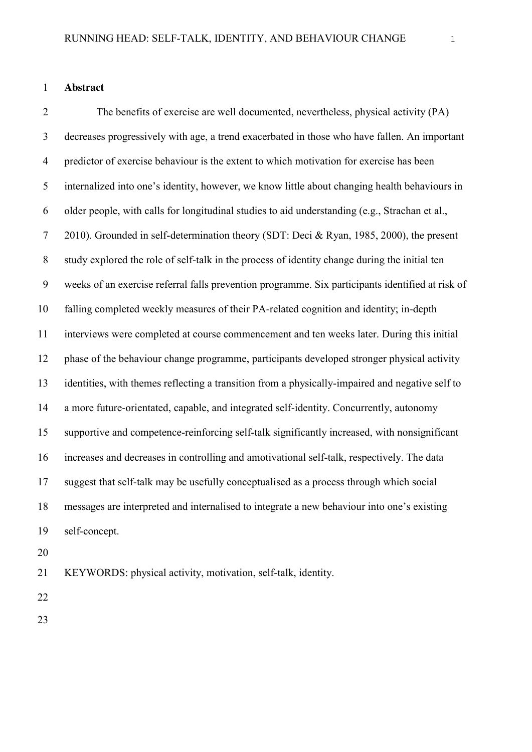# **Abstract**

 The benefits of exercise are well documented, nevertheless, physical activity (PA) decreases progressively with age, a trend exacerbated in those who have fallen. An important predictor of exercise behaviour is the extent to which motivation for exercise has been internalized into one's identity, however, we know little about changing health behaviours in older people, with calls for longitudinal studies to aid understanding (e.g., Strachan et al., 2010). Grounded in self-determination theory (SDT: Deci & Ryan, 1985, 2000), the present study explored the role of self-talk in the process of identity change during the initial ten weeks of an exercise referral falls prevention programme. Six participants identified at risk of falling completed weekly measures of their PA-related cognition and identity; in-depth interviews were completed at course commencement and ten weeks later. During this initial phase of the behaviour change programme, participants developed stronger physical activity identities, with themes reflecting a transition from a physically-impaired and negative self to a more future-orientated, capable, and integrated self-identity. Concurrently, autonomy supportive and competence-reinforcing self-talk significantly increased, with nonsignificant increases and decreases in controlling and amotivational self-talk, respectively. The data suggest that self-talk may be usefully conceptualised as a process through which social messages are interpreted and internalised to integrate a new behaviour into one's existing self-concept.

KEYWORDS: physical activity, motivation, self-talk, identity.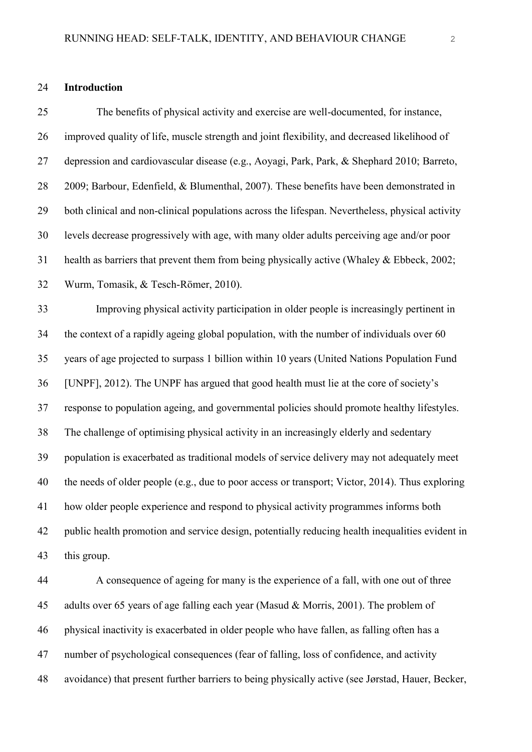## **Introduction**

 The benefits of physical activity and exercise are well-documented, for instance, improved quality of life, muscle strength and joint flexibility, and decreased likelihood of depression and cardiovascular disease (e.g., Aoyagi, Park, Park, & Shephard 2010; Barreto, 2009; Barbour, Edenfield, & Blumenthal, 2007). These benefits have been demonstrated in both clinical and non-clinical populations across the lifespan. Nevertheless, physical activity levels decrease progressively with age, with many older adults perceiving age and/or poor health as barriers that prevent them from being physically active (Whaley & Ebbeck, 2002; Wurm, Tomasik, & Tesch-Römer, 2010).

 Improving physical activity participation in older people is increasingly pertinent in the context of a rapidly ageing global population, with the number of individuals over 60 years of age projected to surpass 1 billion within 10 years (United Nations Population Fund [UNPF], 2012). The UNPF has argued that good health must lie at the core of society's response to population ageing, and governmental policies should promote healthy lifestyles. The challenge of optimising physical activity in an increasingly elderly and sedentary population is exacerbated as traditional models of service delivery may not adequately meet the needs of older people (e.g., due to poor access or transport; Victor, 2014). Thus exploring how older people experience and respond to physical activity programmes informs both public health promotion and service design, potentially reducing health inequalities evident in this group.

 A consequence of ageing for many is the experience of a fall, with one out of three 45 adults over 65 years of age falling each year (Masud & Morris, 2001). The problem of physical inactivity is exacerbated in older people who have fallen, as falling often has a number of psychological consequences (fear of falling, loss of confidence, and activity avoidance) that present further barriers to being physically active (see Jørstad, Hauer, Becker,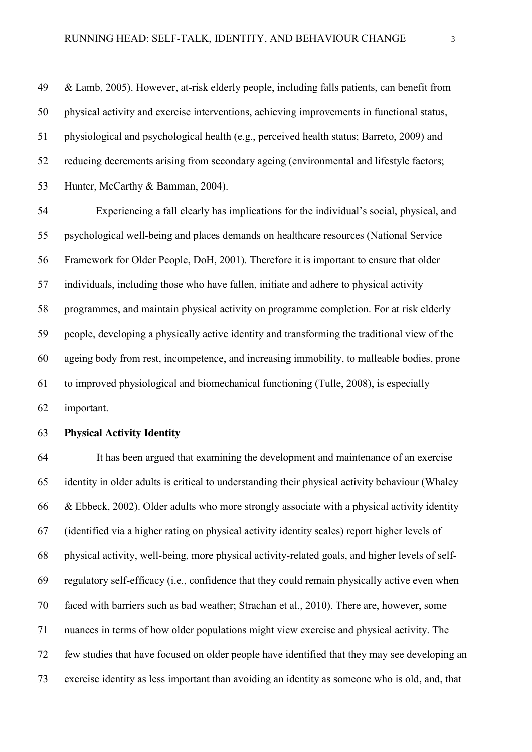& Lamb, 2005). However, at-risk elderly people, including falls patients, can benefit from physical activity and exercise interventions, achieving improvements in functional status, physiological and psychological health (e.g., perceived health status; Barreto, 2009) and reducing decrements arising from secondary ageing (environmental and lifestyle factors; Hunter, McCarthy & Bamman, 2004).

 Experiencing a fall clearly has implications for the individual's social, physical, and psychological well-being and places demands on healthcare resources (National Service Framework for Older People, DoH, 2001). Therefore it is important to ensure that older individuals, including those who have fallen, initiate and adhere to physical activity programmes, and maintain physical activity on programme completion. For at risk elderly people, developing a physically active identity and transforming the traditional view of the ageing body from rest, incompetence, and increasing immobility, to malleable bodies, prone to improved physiological and biomechanical functioning (Tulle, 2008), is especially important.

# **Physical Activity Identity**

 It has been argued that examining the development and maintenance of an exercise identity in older adults is critical to understanding their physical activity behaviour (Whaley & Ebbeck, 2002). Older adults who more strongly associate with a physical activity identity (identified via a higher rating on physical activity identity scales) report higher levels of physical activity, well-being, more physical activity-related goals, and higher levels of self- regulatory self-efficacy (i.e., confidence that they could remain physically active even when faced with barriers such as bad weather; Strachan et al., 2010). There are, however, some nuances in terms of how older populations might view exercise and physical activity. The few studies that have focused on older people have identified that they may see developing an exercise identity as less important than avoiding an identity as someone who is old, and, that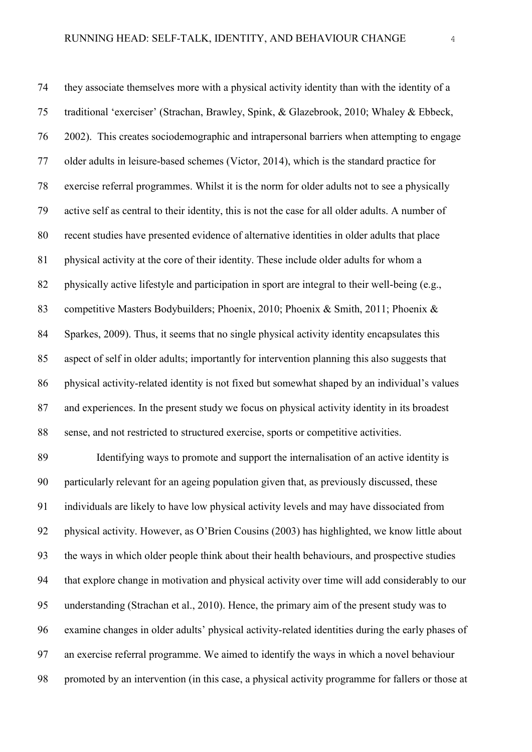they associate themselves more with a physical activity identity than with the identity of a traditional 'exerciser' (Strachan, Brawley, Spink, & Glazebrook, 2010; Whaley & Ebbeck, 2002). This creates sociodemographic and intrapersonal barriers when attempting to engage older adults in leisure-based schemes (Victor, 2014), which is the standard practice for exercise referral programmes. Whilst it is the norm for older adults not to see a physically active self as central to their identity, this is not the case for all older adults. A number of recent studies have presented evidence of alternative identities in older adults that place physical activity at the core of their identity. These include older adults for whom a physically active lifestyle and participation in sport are integral to their well-being (e.g., competitive Masters Bodybuilders; Phoenix, 2010; Phoenix & Smith, 2011; Phoenix & Sparkes, 2009). Thus, it seems that no single physical activity identity encapsulates this aspect of self in older adults; importantly for intervention planning this also suggests that physical activity-related identity is not fixed but somewhat shaped by an individual's values and experiences. In the present study we focus on physical activity identity in its broadest sense, and not restricted to structured exercise, sports or competitive activities.

 Identifying ways to promote and support the internalisation of an active identity is particularly relevant for an ageing population given that, as previously discussed, these individuals are likely to have low physical activity levels and may have dissociated from physical activity. However, as O'Brien Cousins (2003) has highlighted, we know little about the ways in which older people think about their health behaviours, and prospective studies that explore change in motivation and physical activity over time will add considerably to our understanding (Strachan et al., 2010). Hence, the primary aim of the present study was to examine changes in older adults' physical activity-related identities during the early phases of an exercise referral programme. We aimed to identify the ways in which a novel behaviour promoted by an intervention (in this case, a physical activity programme for fallers or those at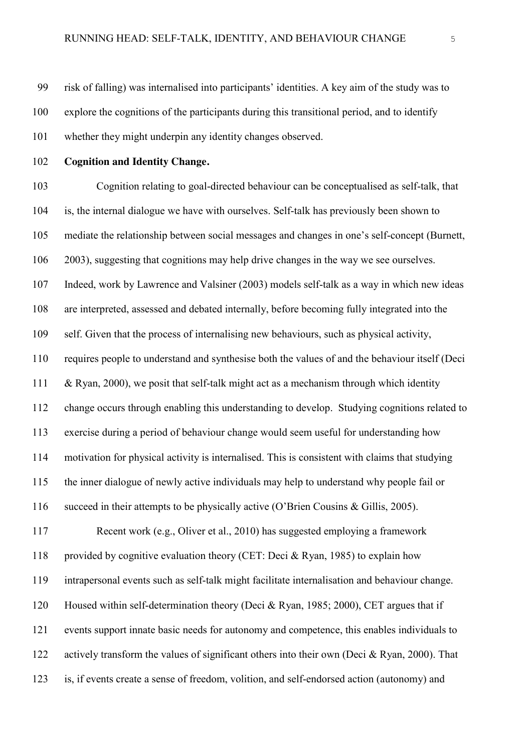risk of falling) was internalised into participants' identities. A key aim of the study was to explore the cognitions of the participants during this transitional period, and to identify whether they might underpin any identity changes observed.

**Cognition and Identity Change.**

 Cognition relating to goal-directed behaviour can be conceptualised as self-talk, that is, the internal dialogue we have with ourselves. Self-talk has previously been shown to mediate the relationship between social messages and changes in one's self-concept (Burnett, 2003), suggesting that cognitions may help drive changes in the way we see ourselves. Indeed, work by Lawrence and Valsiner (2003) models self-talk as a way in which new ideas are interpreted, assessed and debated internally, before becoming fully integrated into the self. Given that the process of internalising new behaviours, such as physical activity, requires people to understand and synthesise both the values of and the behaviour itself (Deci & Ryan, 2000), we posit that self-talk might act as a mechanism through which identity change occurs through enabling this understanding to develop. Studying cognitions related to exercise during a period of behaviour change would seem useful for understanding how motivation for physical activity is internalised. This is consistent with claims that studying the inner dialogue of newly active individuals may help to understand why people fail or succeed in their attempts to be physically active (O'Brien Cousins & Gillis, 2005). Recent work (e.g., Oliver et al., 2010) has suggested employing a framework provided by cognitive evaluation theory (CET: Deci & Ryan, 1985) to explain how intrapersonal events such as self-talk might facilitate internalisation and behaviour change. Housed within self-determination theory (Deci & Ryan, 1985; 2000), CET argues that if events support innate basic needs for autonomy and competence, this enables individuals to actively transform the values of significant others into their own (Deci & Ryan, 2000). That is, if events create a sense of freedom, volition, and self-endorsed action (autonomy) and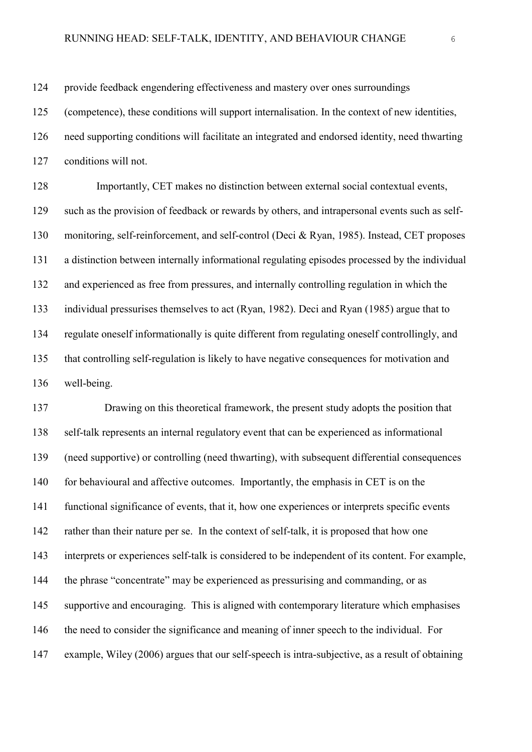provide feedback engendering effectiveness and mastery over ones surroundings

(competence), these conditions will support internalisation. In the context of new identities,

need supporting conditions will facilitate an integrated and endorsed identity, need thwarting

conditions will not.

 Importantly, CET makes no distinction between external social contextual events, such as the provision of feedback or rewards by others, and intrapersonal events such as self- monitoring, self-reinforcement, and self-control (Deci & Ryan, 1985). Instead, CET proposes a distinction between internally informational regulating episodes processed by the individual and experienced as free from pressures, and internally controlling regulation in which the individual pressurises themselves to act (Ryan, 1982). Deci and Ryan (1985) argue that to regulate oneself informationally is quite different from regulating oneself controllingly, and that controlling self-regulation is likely to have negative consequences for motivation and well-being.

 Drawing on this theoretical framework, the present study adopts the position that self-talk represents an internal regulatory event that can be experienced as informational (need supportive) or controlling (need thwarting), with subsequent differential consequences for behavioural and affective outcomes. Importantly, the emphasis in CET is on the functional significance of events, that it, how one experiences or interprets specific events rather than their nature per se. In the context of self-talk, it is proposed that how one interprets or experiences self-talk is considered to be independent of its content. For example, the phrase "concentrate" may be experienced as pressurising and commanding, or as supportive and encouraging. This is aligned with contemporary literature which emphasises the need to consider the significance and meaning of inner speech to the individual. For example, Wiley (2006) argues that our self-speech is intra-subjective, as a result of obtaining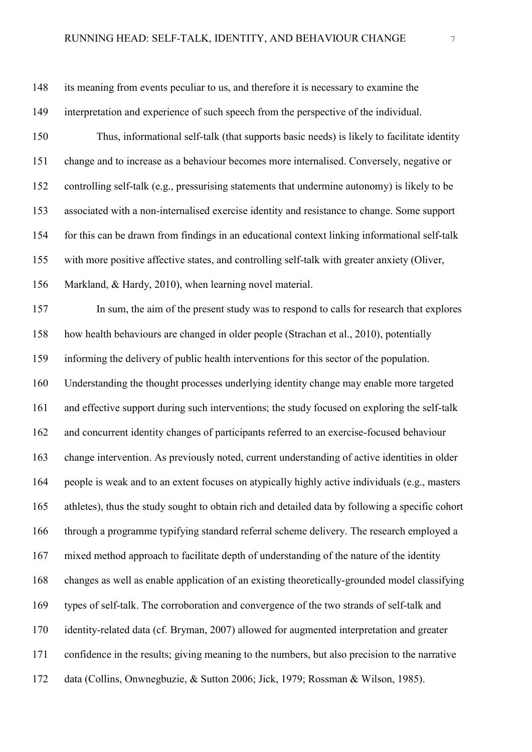its meaning from events peculiar to us, and therefore it is necessary to examine the interpretation and experience of such speech from the perspective of the individual.

 Thus, informational self-talk (that supports basic needs) is likely to facilitate identity change and to increase as a behaviour becomes more internalised. Conversely, negative or controlling self-talk (e.g., pressurising statements that undermine autonomy) is likely to be associated with a non-internalised exercise identity and resistance to change. Some support for this can be drawn from findings in an educational context linking informational self-talk with more positive affective states, and controlling self-talk with greater anxiety (Oliver, Markland, & Hardy, 2010), when learning novel material.

 In sum, the aim of the present study was to respond to calls for research that explores how health behaviours are changed in older people (Strachan et al., 2010), potentially informing the delivery of public health interventions for this sector of the population. Understanding the thought processes underlying identity change may enable more targeted and effective support during such interventions; the study focused on exploring the self-talk and concurrent identity changes of participants referred to an exercise-focused behaviour change intervention. As previously noted, current understanding of active identities in older people is weak and to an extent focuses on atypically highly active individuals (e.g., masters athletes), thus the study sought to obtain rich and detailed data by following a specific cohort through a programme typifying standard referral scheme delivery. The research employed a mixed method approach to facilitate depth of understanding of the nature of the identity changes as well as enable application of an existing theoretically-grounded model classifying types of self-talk. The corroboration and convergence of the two strands of self-talk and identity-related data (cf. Bryman, 2007) allowed for augmented interpretation and greater confidence in the results; giving meaning to the numbers, but also precision to the narrative data (Collins, Onwnegbuzie, & Sutton 2006; Jick, 1979; Rossman & Wilson, 1985).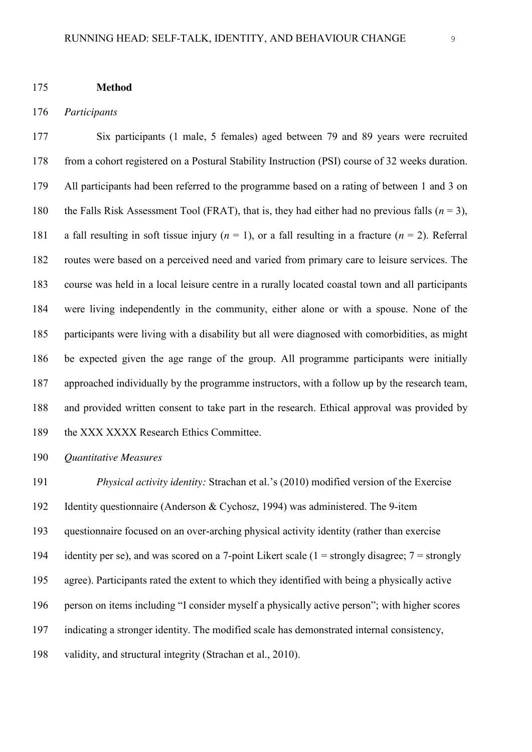#### **Method**

### *Participants*

 Six participants (1 male, 5 females) aged between 79 and 89 years were recruited from a cohort registered on a Postural Stability Instruction (PSI) course of 32 weeks duration. All participants had been referred to the programme based on a rating of between 1 and 3 on the Falls Risk Assessment Tool (FRAT), that is, they had either had no previous falls (*n* = 3), 181 a fall resulting in soft tissue injury  $(n = 1)$ , or a fall resulting in a fracture  $(n = 2)$ . Referral routes were based on a perceived need and varied from primary care to leisure services. The course was held in a local leisure centre in a rurally located coastal town and all participants were living independently in the community, either alone or with a spouse. None of the participants were living with a disability but all were diagnosed with comorbidities, as might be expected given the age range of the group. All programme participants were initially approached individually by the programme instructors, with a follow up by the research team, and provided written consent to take part in the research. Ethical approval was provided by 189 the XXX XXXX Research Ethics Committee.

*Quantitative Measures*

 *Physical activity identity:* Strachan et al.'s (2010) modified version of the Exercise Identity questionnaire (Anderson & Cychosz, 1994) was administered. The 9-item questionnaire focused on an over-arching physical activity identity (rather than exercise 194 identity per se), and was scored on a 7-point Likert scale (1 = strongly disagree;  $7 =$  strongly agree). Participants rated the extent to which they identified with being a physically active person on items including "I consider myself a physically active person"; with higher scores indicating a stronger identity. The modified scale has demonstrated internal consistency, validity, and structural integrity (Strachan et al., 2010).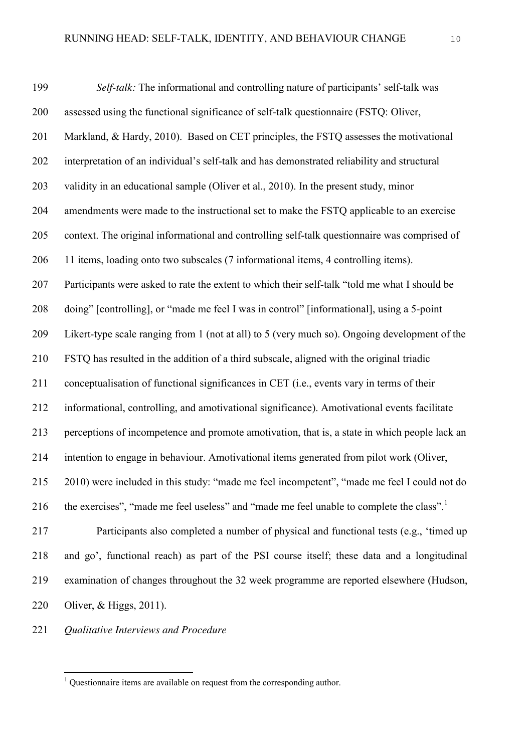*Self-talk:* The informational and controlling nature of participants' self-talk was assessed using the functional significance of self-talk questionnaire (FSTQ: Oliver, Markland, & Hardy, 2010). Based on CET principles, the FSTQ assesses the motivational interpretation of an individual's self-talk and has demonstrated reliability and structural validity in an educational sample (Oliver et al., 2010). In the present study, minor amendments were made to the instructional set to make the FSTQ applicable to an exercise context. The original informational and controlling self-talk questionnaire was comprised of 11 items, loading onto two subscales (7 informational items, 4 controlling items). Participants were asked to rate the extent to which their self-talk "told me what I should be doing" [controlling], or "made me feel I was in control" [informational], using a 5-point Likert-type scale ranging from 1 (not at all) to 5 (very much so). Ongoing development of the FSTQ has resulted in the addition of a third subscale, aligned with the original triadic conceptualisation of functional significances in CET (i.e., events vary in terms of their informational, controlling, and amotivational significance). Amotivational events facilitate perceptions of incompetence and promote amotivation, that is, a state in which people lack an intention to engage in behaviour. Amotivational items generated from pilot work (Oliver, 2010) were included in this study: "made me feel incompetent", "made me feel I could not do 216 the exercises", "made me feel useless" and "made me feel unable to complete the class".<sup>1</sup> Participants also completed a number of physical and functional tests (e.g., 'timed up and go', functional reach) as part of the PSI course itself; these data and a longitudinal examination of changes throughout the 32 week programme are reported elsewhere (Hudson,

- Oliver, & Higgs, 2011).
- *Qualitative Interviews and Procedure*

Questionnaire items are available on request from the corresponding author.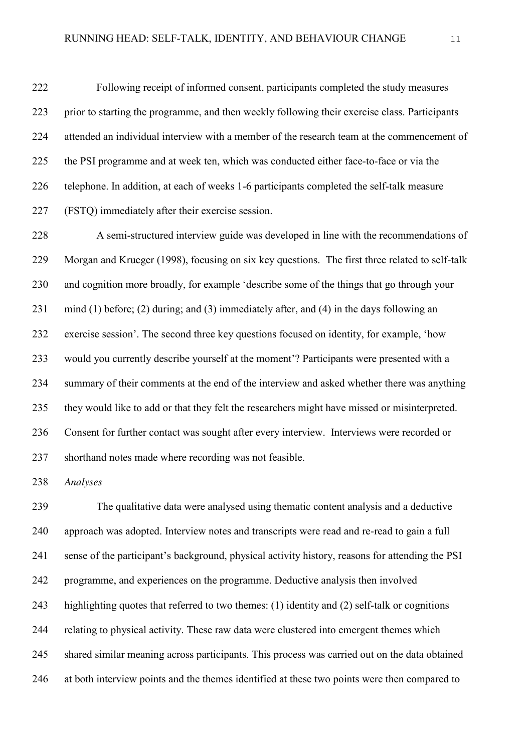Following receipt of informed consent, participants completed the study measures prior to starting the programme, and then weekly following their exercise class. Participants attended an individual interview with a member of the research team at the commencement of the PSI programme and at week ten, which was conducted either face-to-face or via the telephone. In addition, at each of weeks 1-6 participants completed the self-talk measure (FSTQ) immediately after their exercise session.

 A semi-structured interview guide was developed in line with the recommendations of Morgan and Krueger (1998), focusing on six key questions. The first three related to self-talk and cognition more broadly, for example 'describe some of the things that go through your mind (1) before; (2) during; and (3) immediately after, and (4) in the days following an exercise session'. The second three key questions focused on identity, for example, 'how would you currently describe yourself at the moment'? Participants were presented with a summary of their comments at the end of the interview and asked whether there was anything they would like to add or that they felt the researchers might have missed or misinterpreted. Consent for further contact was sought after every interview. Interviews were recorded or shorthand notes made where recording was not feasible.

*Analyses*

 The qualitative data were analysed using thematic content analysis and a deductive approach was adopted. Interview notes and transcripts were read and re-read to gain a full sense of the participant's background, physical activity history, reasons for attending the PSI programme, and experiences on the programme. Deductive analysis then involved highlighting quotes that referred to two themes: (1) identity and (2) self-talk or cognitions relating to physical activity. These raw data were clustered into emergent themes which shared similar meaning across participants. This process was carried out on the data obtained at both interview points and the themes identified at these two points were then compared to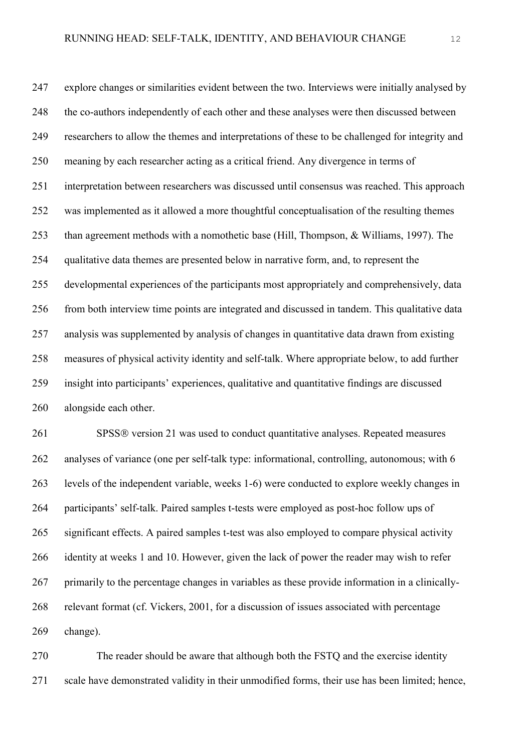explore changes or similarities evident between the two. Interviews were initially analysed by the co-authors independently of each other and these analyses were then discussed between researchers to allow the themes and interpretations of these to be challenged for integrity and meaning by each researcher acting as a critical friend. Any divergence in terms of interpretation between researchers was discussed until consensus was reached. This approach was implemented as it allowed a more thoughtful conceptualisation of the resulting themes than agreement methods with a nomothetic base (Hill, Thompson, & Williams, 1997). The qualitative data themes are presented below in narrative form, and, to represent the developmental experiences of the participants most appropriately and comprehensively, data from both interview time points are integrated and discussed in tandem. This qualitative data analysis was supplemented by analysis of changes in quantitative data drawn from existing measures of physical activity identity and self-talk. Where appropriate below, to add further insight into participants' experiences, qualitative and quantitative findings are discussed alongside each other.

261 SPSS® version 21 was used to conduct quantitative analyses. Repeated measures 262 analyses of variance (one per self-talk type: informational, controlling, autonomous; with 6 levels of the independent variable, weeks 1-6) were conducted to explore weekly changes in participants' self-talk. Paired samples t-tests were employed as post-hoc follow ups of significant effects. A paired samples t-test was also employed to compare physical activity identity at weeks 1 and 10. However, given the lack of power the reader may wish to refer primarily to the percentage changes in variables as these provide information in a clinically- relevant format (cf. Vickers, 2001, for a discussion of issues associated with percentage change).

 The reader should be aware that although both the FSTQ and the exercise identity scale have demonstrated validity in their unmodified forms, their use has been limited; hence,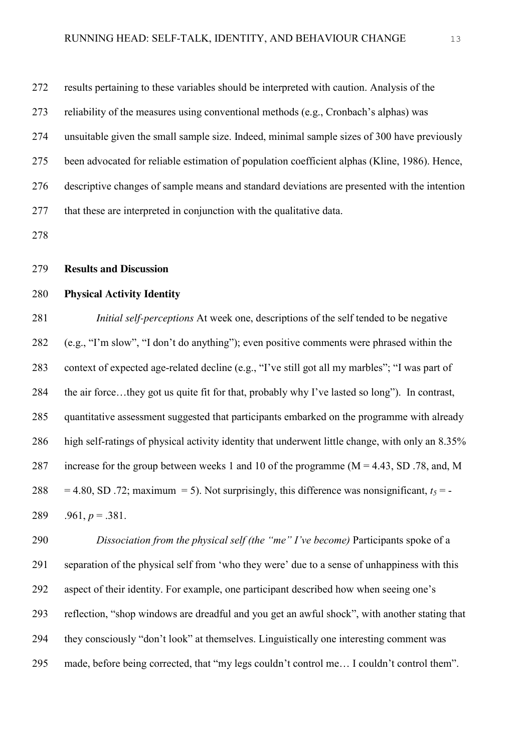results pertaining to these variables should be interpreted with caution. Analysis of the

reliability of the measures using conventional methods (e.g., Cronbach's alphas) was

- unsuitable given the small sample size. Indeed, minimal sample sizes of 300 have previously
- been advocated for reliable estimation of population coefficient alphas (Kline, 1986). Hence,

descriptive changes of sample means and standard deviations are presented with the intention

that these are interpreted in conjunction with the qualitative data.

## **Results and Discussion**

# **Physical Activity Identity**

 *Initial self-perceptions* At week one, descriptions of the self tended to be negative (e.g., "I'm slow", "I don't do anything"); even positive comments were phrased within the context of expected age-related decline (e.g., "I've still got all my marbles"; "I was part of the air force…they got us quite fit for that, probably why I've lasted so long"). In contrast, quantitative assessment suggested that participants embarked on the programme with already high self-ratings of physical activity identity that underwent little change, with only an 8.35% 287 increase for the group between weeks 1 and 10 of the programme  $(M = 4.43, SD$ . 78, and, M 288 = 4.80, SD .72; maximum = 5). Not surprisingly, this difference was nonsignificant,  $t_5$  = -289 .961,  $p = .381$ .

 *Dissociation from the physical self (the "me" I've become)* Participants spoke of a separation of the physical self from 'who they were' due to a sense of unhappiness with this aspect of their identity. For example, one participant described how when seeing one's reflection, "shop windows are dreadful and you get an awful shock", with another stating that they consciously "don't look" at themselves. Linguistically one interesting comment was made, before being corrected, that "my legs couldn't control me… I couldn't control them".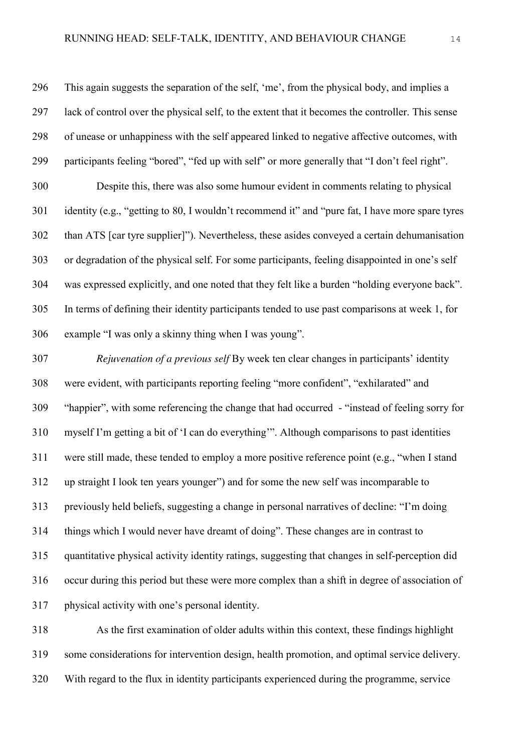This again suggests the separation of the self, 'me', from the physical body, and implies a lack of control over the physical self, to the extent that it becomes the controller. This sense of unease or unhappiness with the self appeared linked to negative affective outcomes, with participants feeling "bored", "fed up with self" or more generally that "I don't feel right".

 Despite this, there was also some humour evident in comments relating to physical identity (e.g., "getting to 80, I wouldn't recommend it" and "pure fat, I have more spare tyres than ATS [car tyre supplier]"). Nevertheless, these asides conveyed a certain dehumanisation or degradation of the physical self. For some participants, feeling disappointed in one's self was expressed explicitly, and one noted that they felt like a burden "holding everyone back". In terms of defining their identity participants tended to use past comparisons at week 1, for example "I was only a skinny thing when I was young".

 *Rejuvenation of a previous self* By week ten clear changes in participants' identity were evident, with participants reporting feeling "more confident", "exhilarated" and "happier", with some referencing the change that had occurred - "instead of feeling sorry for myself I'm getting a bit of 'I can do everything'". Although comparisons to past identities were still made, these tended to employ a more positive reference point (e.g., "when I stand up straight I look ten years younger") and for some the new self was incomparable to previously held beliefs, suggesting a change in personal narratives of decline: "I'm doing things which I would never have dreamt of doing". These changes are in contrast to quantitative physical activity identity ratings, suggesting that changes in self-perception did occur during this period but these were more complex than a shift in degree of association of physical activity with one's personal identity.

 As the first examination of older adults within this context, these findings highlight some considerations for intervention design, health promotion, and optimal service delivery. With regard to the flux in identity participants experienced during the programme, service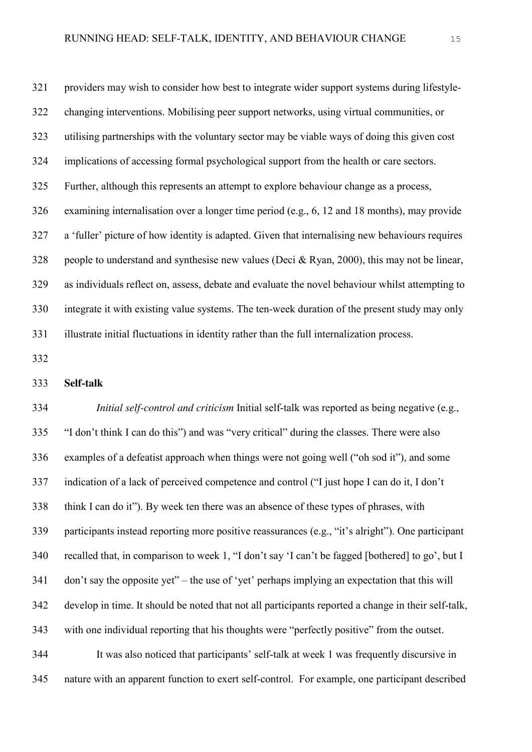providers may wish to consider how best to integrate wider support systems during lifestyle- changing interventions. Mobilising peer support networks, using virtual communities, or utilising partnerships with the voluntary sector may be viable ways of doing this given cost implications of accessing formal psychological support from the health or care sectors. Further, although this represents an attempt to explore behaviour change as a process, examining internalisation over a longer time period (e.g., 6, 12 and 18 months), may provide a 'fuller' picture of how identity is adapted. Given that internalising new behaviours requires people to understand and synthesise new values (Deci & Ryan, 2000), this may not be linear, as individuals reflect on, assess, debate and evaluate the novel behaviour whilst attempting to integrate it with existing value systems. The ten-week duration of the present study may only illustrate initial fluctuations in identity rather than the full internalization process.

#### **Self-talk**

 *Initial self-control and criticism* Initial self-talk was reported as being negative (e.g., "I don't think I can do this") and was "very critical" during the classes. There were also examples of a defeatist approach when things were not going well ("oh sod it"), and some indication of a lack of perceived competence and control ("I just hope I can do it, I don't think I can do it"). By week ten there was an absence of these types of phrases, with participants instead reporting more positive reassurances (e.g., "it's alright"). One participant recalled that, in comparison to week 1, "I don't say 'I can't be fagged [bothered] to go', but I don't say the opposite yet" – the use of 'yet' perhaps implying an expectation that this will develop in time. It should be noted that not all participants reported a change in their self-talk, with one individual reporting that his thoughts were "perfectly positive" from the outset. It was also noticed that participants' self-talk at week 1 was frequently discursive in nature with an apparent function to exert self-control. For example, one participant described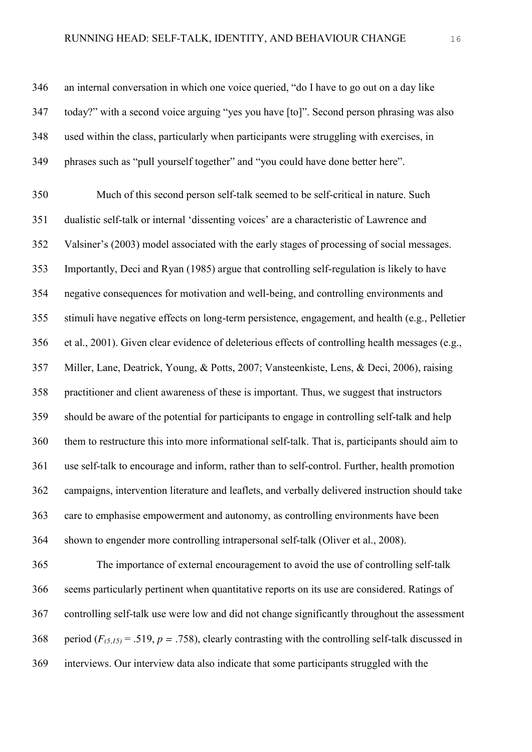an internal conversation in which one voice queried, "do I have to go out on a day like today?" with a second voice arguing "yes you have [to]". Second person phrasing was also used within the class, particularly when participants were struggling with exercises, in phrases such as "pull yourself together" and "you could have done better here".

 Much of this second person self-talk seemed to be self-critical in nature. Such dualistic self-talk or internal 'dissenting voices' are a characteristic of Lawrence and Valsiner's (2003) model associated with the early stages of processing of social messages. Importantly, Deci and Ryan (1985) argue that controlling self-regulation is likely to have negative consequences for motivation and well-being, and controlling environments and stimuli have negative effects on long-term persistence, engagement, and health (e.g., Pelletier et al., 2001). Given clear evidence of deleterious effects of controlling health messages (e.g., Miller, Lane, Deatrick, Young, & Potts, 2007; Vansteenkiste, Lens, & Deci, 2006), raising practitioner and client awareness of these is important. Thus, we suggest that instructors should be aware of the potential for participants to engage in controlling self-talk and help them to restructure this into more informational self-talk. That is, participants should aim to use self-talk to encourage and inform, rather than to self-control. Further, health promotion campaigns, intervention literature and leaflets, and verbally delivered instruction should take care to emphasise empowerment and autonomy, as controlling environments have been shown to engender more controlling intrapersonal self-talk (Oliver et al., 2008).

 The importance of external encouragement to avoid the use of controlling self-talk seems particularly pertinent when quantitative reports on its use are considered. Ratings of controlling self-talk use were low and did not change significantly throughout the assessment 368 period  $(F_{(5,15)} = .519, p = .758)$ , clearly contrasting with the controlling self-talk discussed in interviews. Our interview data also indicate that some participants struggled with the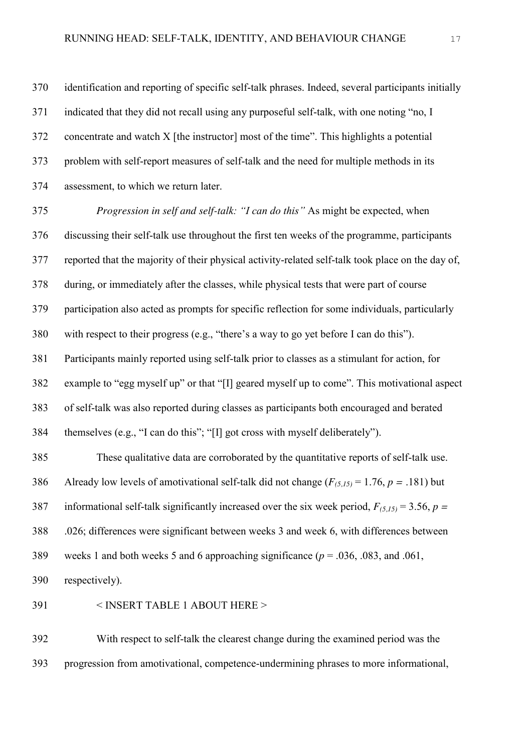identification and reporting of specific self-talk phrases. Indeed, several participants initially indicated that they did not recall using any purposeful self-talk, with one noting "no, I concentrate and watch X [the instructor] most of the time". This highlights a potential problem with self-report measures of self-talk and the need for multiple methods in its assessment, to which we return later.

 *Progression in self and self-talk: "I can do this"* As might be expected, when discussing their self-talk use throughout the first ten weeks of the programme, participants reported that the majority of their physical activity-related self-talk took place on the day of, during, or immediately after the classes, while physical tests that were part of course participation also acted as prompts for specific reflection for some individuals, particularly with respect to their progress (e.g., "there's a way to go yet before I can do this"). Participants mainly reported using self-talk prior to classes as a stimulant for action, for example to "egg myself up" or that "[I] geared myself up to come". This motivational aspect of self-talk was also reported during classes as participants both encouraged and berated themselves (e.g., "I can do this"; "[I] got cross with myself deliberately").

 These qualitative data are corroborated by the quantitative reports of self-talk use. Already low levels of amotivational self-talk did not change (*F(5,15)* = 1.76, *p =* .181) but 387 informational self-talk significantly increased over the six week period,  $F_{(5,15)} = 3.56$ ,  $p =$  .026; differences were significant between weeks 3 and week 6, with differences between weeks 1 and both weeks 5 and 6 approaching significance (*p* = .036, .083, and .061,

respectively).

< INSERT TABLE 1 ABOUT HERE >

 With respect to self-talk the clearest change during the examined period was the progression from amotivational, competence-undermining phrases to more informational,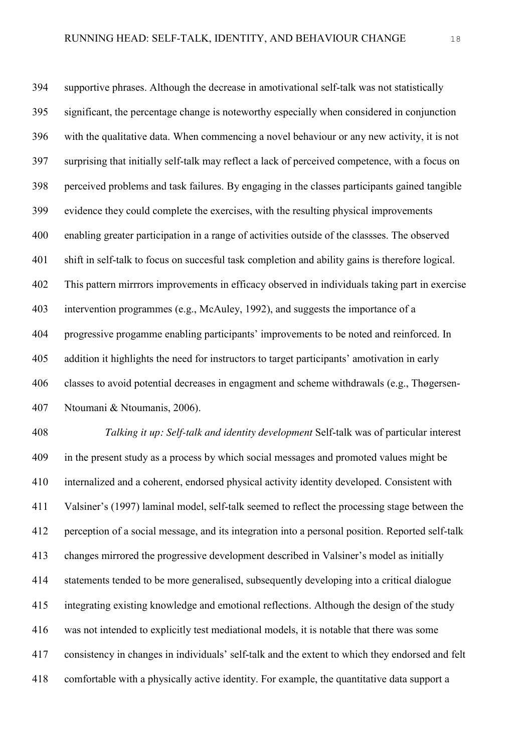supportive phrases. Although the decrease in amotivational self-talk was not statistically significant, the percentage change is noteworthy especially when considered in conjunction with the qualitative data. When commencing a novel behaviour or any new activity, it is not surprising that initially self-talk may reflect a lack of perceived competence, with a focus on perceived problems and task failures. By engaging in the classes participants gained tangible evidence they could complete the exercises, with the resulting physical improvements enabling greater participation in a range of activities outside of the classses. The observed shift in self-talk to focus on succesful task completion and ability gains is therefore logical. This pattern mirrrors improvements in efficacy observed in individuals taking part in exercise intervention programmes (e.g., McAuley, 1992), and suggests the importance of a progressive progamme enabling participants' improvements to be noted and reinforced. In addition it highlights the need for instructors to target participants' amotivation in early classes to avoid potential decreases in engagment and scheme withdrawals (e.g., Thøgersen-Ntoumani & Ntoumanis, 2006).

 *Talking it up: Self-talk and identity development* Self-talk was of particular interest in the present study as a process by which social messages and promoted values might be internalized and a coherent, endorsed physical activity identity developed. Consistent with Valsiner's (1997) laminal model, self-talk seemed to reflect the processing stage between the perception of a social message, and its integration into a personal position. Reported self-talk changes mirrored the progressive development described in Valsiner's model as initially statements tended to be more generalised, subsequently developing into a critical dialogue integrating existing knowledge and emotional reflections. Although the design of the study was not intended to explicitly test mediational models, it is notable that there was some consistency in changes in individuals' self-talk and the extent to which they endorsed and felt comfortable with a physically active identity. For example, the quantitative data support a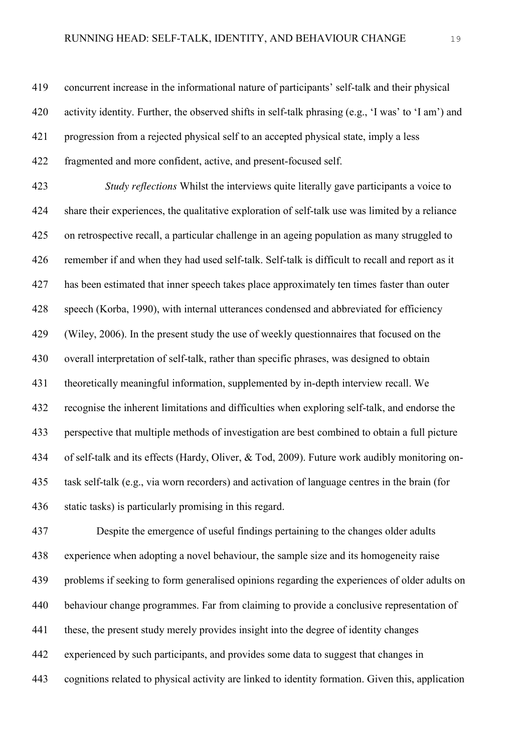concurrent increase in the informational nature of participants' self-talk and their physical activity identity. Further, the observed shifts in self-talk phrasing (e.g., 'I was' to 'I am') and progression from a rejected physical self to an accepted physical state, imply a less fragmented and more confident, active, and present-focused self.

 *Study reflections* Whilst the interviews quite literally gave participants a voice to share their experiences, the qualitative exploration of self-talk use was limited by a reliance on retrospective recall, a particular challenge in an ageing population as many struggled to remember if and when they had used self-talk. Self-talk is difficult to recall and report as it has been estimated that inner speech takes place approximately ten times faster than outer speech (Korba, 1990), with internal utterances condensed and abbreviated for efficiency (Wiley, 2006). In the present study the use of weekly questionnaires that focused on the overall interpretation of self-talk, rather than specific phrases, was designed to obtain theoretically meaningful information, supplemented by in-depth interview recall. We recognise the inherent limitations and difficulties when exploring self-talk, and endorse the perspective that multiple methods of investigation are best combined to obtain a full picture of self-talk and its effects (Hardy, Oliver, & Tod, 2009). Future work audibly monitoring on- task self-talk (e.g., via worn recorders) and activation of language centres in the brain (for static tasks) is particularly promising in this regard.

 Despite the emergence of useful findings pertaining to the changes older adults experience when adopting a novel behaviour, the sample size and its homogeneity raise problems if seeking to form generalised opinions regarding the experiences of older adults on behaviour change programmes. Far from claiming to provide a conclusive representation of these, the present study merely provides insight into the degree of identity changes experienced by such participants, and provides some data to suggest that changes in cognitions related to physical activity are linked to identity formation. Given this, application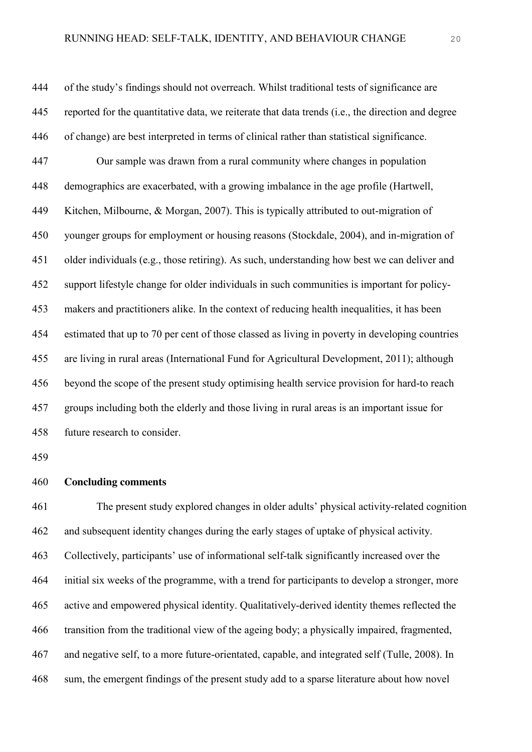of the study's findings should not overreach. Whilst traditional tests of significance are reported for the quantitative data, we reiterate that data trends (i.e., the direction and degree of change) are best interpreted in terms of clinical rather than statistical significance. Our sample was drawn from a rural community where changes in population demographics are exacerbated, with a growing imbalance in the age profile (Hartwell, Kitchen, Milbourne, & Morgan, 2007). This is typically attributed to out-migration of younger groups for employment or housing reasons (Stockdale, 2004), and in-migration of older individuals (e.g., those retiring). As such, understanding how best we can deliver and support lifestyle change for older individuals in such communities is important for policy- makers and practitioners alike. In the context of reducing health inequalities, it has been estimated that up to 70 per cent of those classed as living in poverty in developing countries are living in rural areas (International Fund for Agricultural Development, 2011); although beyond the scope of the present study optimising health service provision for hard-to reach groups including both the elderly and those living in rural areas is an important issue for future research to consider.

### **Concluding comments**

 The present study explored changes in older adults' physical activity-related cognition and subsequent identity changes during the early stages of uptake of physical activity. Collectively, participants' use of informational self-talk significantly increased over the initial six weeks of the programme, with a trend for participants to develop a stronger, more active and empowered physical identity. Qualitatively-derived identity themes reflected the transition from the traditional view of the ageing body; a physically impaired, fragmented, and negative self, to a more future-orientated, capable, and integrated self (Tulle, 2008). In sum, the emergent findings of the present study add to a sparse literature about how novel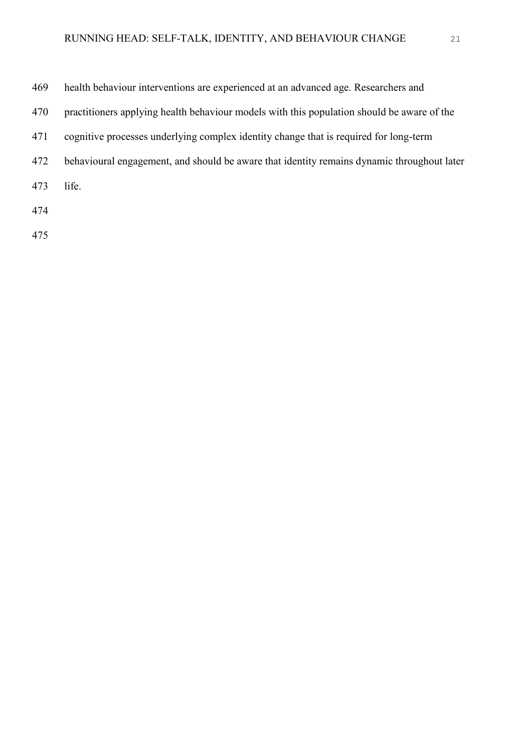| 469 | health behaviour interventions are experienced at an advanced age. Researchers and         |
|-----|--------------------------------------------------------------------------------------------|
| 470 | practitioners applying health behaviour models with this population should be aware of the |
| 471 | cognitive processes underlying complex identity change that is required for long-term      |
| 472 | behavioural engagement, and should be aware that identity remains dynamic throughout later |
| 473 | life.                                                                                      |
| 474 |                                                                                            |
|     |                                                                                            |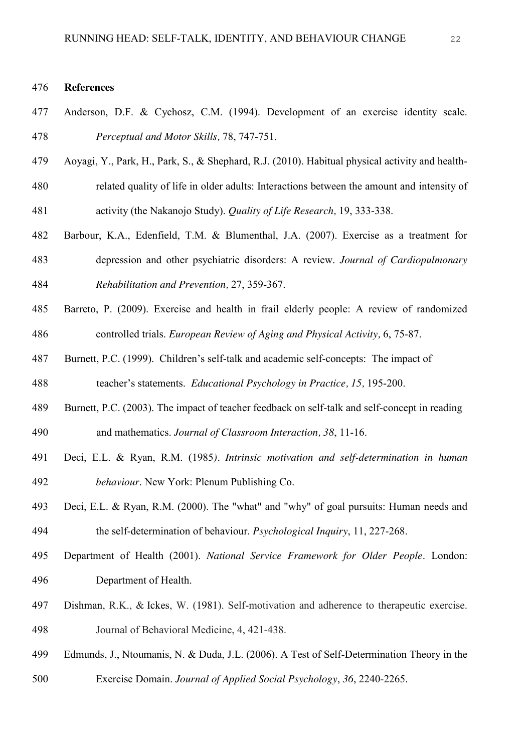#### **References**

- Anderson, D.F. & Cychosz, C.M. (1994). Development of an exercise identity scale. *Perceptual and Motor Skills,* 78, 747-751.
- Aoyagi, Y., Park, H., Park, S., & Shephard, R.J. (2010). Habitual physical activity and health- related quality of life in older adults: Interactions between the amount and intensity of activity (the Nakanojo Study). *Quality of Life Research,* 19, 333-338.
- Barbour, K.A., Edenfield, T.M. & Blumenthal, J.A. (2007). Exercise as a treatment for depression and other psychiatric disorders: A review. *Journal of Cardiopulmonary Rehabilitation and Prevention,* 27, 359-367.
- Barreto, P. (2009). Exercise and health in frail elderly people: A review of randomized controlled trials. *European Review of Aging and Physical Activity,* 6, 75-87.
- Burnett, P.C. (1999). Children's self-talk and academic self-concepts: The impact of teacher's statements. *Educational Psychology in Practice, 15,* 195-200.
- Burnett, P.C. (2003). The impact of teacher feedback on self-talk and self-concept in reading and mathematics. *Journal of Classroom Interaction, 38*, 11-16.
- Deci, E.L. & Ryan, R.M. (1985*). Intrinsic motivation and self-determination in human behaviour*. New York: Plenum Publishing Co.
- Deci, E.L. & Ryan, R.M. (2000). The "what" and "why" of goal pursuits: Human needs and the self-determination of behaviour. *Psychological Inquiry*, 11, 227-268.
- Department of Health (2001). *National Service Framework for Older People*. London: Department of Health.
- Dishman, R.K., & Ickes, W. (1981). Self-motivation and adherence to therapeutic exercise. Journal of Behavioral Medicine, 4, 421-438.
- Edmunds, J., Ntoumanis, N. & Duda, J.L. (2006). A Test of Self-Determination Theory in the
- Exercise Domain. *Journal of Applied Social Psychology*, *36*, 2240-2265.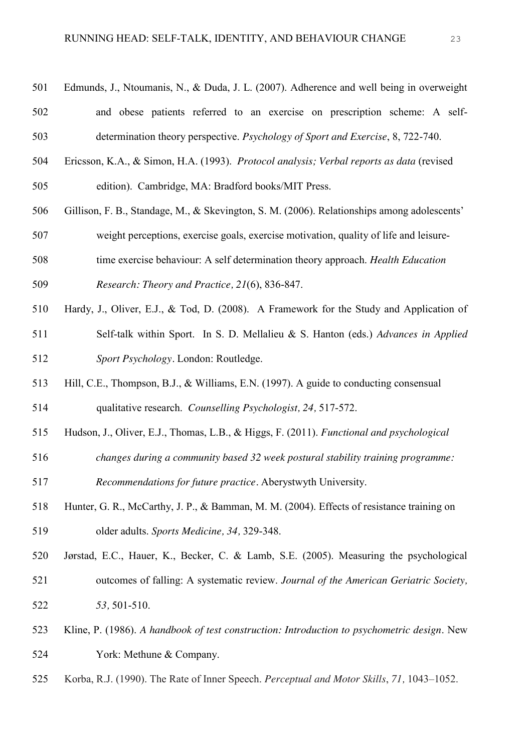- Edmunds, J., Ntoumanis, N., & Duda, J. L. (2007). Adherence and well being in overweight and obese patients referred to an exercise on prescription scheme: A self-determination theory perspective. *Psychology of Sport and Exercise*, 8, 722-740.
- Ericsson, K.A., & Simon, H.A. (1993). *Protocol analysis; Verbal reports as data* (revised
- edition). Cambridge, MA: Bradford books/MIT Press.
- Gillison, F. B., Standage, M., & Skevington, S. M. (2006). Relationships among adolescents'
- weight perceptions, exercise goals, exercise motivation, quality of life and leisure-
- time exercise behaviour: A self determination theory approach. *Health Education Research: Theory and Practice, 21*(6), 836-847.
- Hardy, J., Oliver, E.J., & Tod, D. (2008). A Framework for the Study and Application of Self-talk within Sport. In S. D. Mellalieu & S. Hanton (eds.) *Advances in Applied Sport Psychology.* London: Routledge.
- Hill, C.E., Thompson, B.J., & Williams, E.N. (1997). A guide to conducting consensual qualitative research. *Counselling Psychologist, 24,* 517-572.
- Hudson, J., Oliver, E.J., Thomas, L.B., & Higgs, F. (2011). *Functional and psychological*
- *changes during a community based 32 week postural stability training programme:*
- *Recommendations for future practice.* Aberystwyth University.
- Hunter, G. R., McCarthy, J. P., & Bamman, M. M. (2004). Effects of resistance training on older adults. *Sports Medicine, 34,* 329-348.
- Jørstad, E.C., Hauer, K., Becker, C. & Lamb, S.E. (2005). Measuring the psychological outcomes of falling: A systematic review. *Journal of the American Geriatric Society, 53,* 501-510.
- Kline, P. (1986). *A handbook of test construction: Introduction to psychometric design*. New York: Methune & Company.
- Korba, R.J. (1990). The Rate of Inner Speech. *Perceptual and Motor Skills*, *71,* 1043–1052.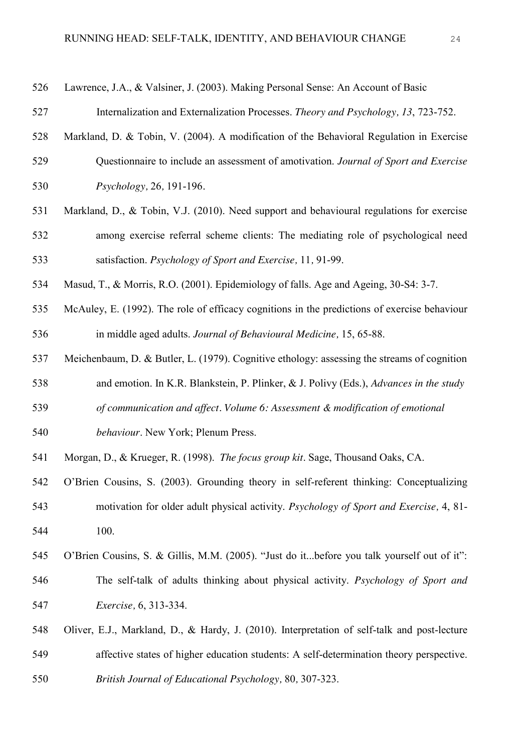| 526 | Lawrence, J.A., & Valsiner, J. (2003). Making Personal Sense: An Account of Basic            |
|-----|----------------------------------------------------------------------------------------------|
| 527 | Internalization and Externalization Processes. Theory and Psychology, 13, 723-752.           |
| 528 | Markland, D. & Tobin, V. (2004). A modification of the Behavioral Regulation in Exercise     |
| 529 | Questionnaire to include an assessment of amotivation. Journal of Sport and Exercise         |
| 530 | Psychology, 26, 191-196.                                                                     |
| 531 | Markland, D., & Tobin, V.J. (2010). Need support and behavioural regulations for exercise    |
| 532 | among exercise referral scheme clients: The mediating role of psychological need             |
| 533 | satisfaction. Psychology of Sport and Exercise, 11, 91-99.                                   |
| 534 | Masud, T., & Morris, R.O. (2001). Epidemiology of falls. Age and Ageing, 30-S4: 3-7.         |
| 535 | McAuley, E. (1992). The role of efficacy cognitions in the predictions of exercise behaviour |
| 536 | in middle aged adults. Journal of Behavioural Medicine, 15, 65-88.                           |
| 537 | Meichenbaum, D. & Butler, L. (1979). Cognitive ethology: assessing the streams of cognition  |
| 538 | and emotion. In K.R. Blankstein, P. Plinker, & J. Polivy (Eds.), Advances in the study       |
| 539 | of communication and affect. Volume 6: Assessment & modification of emotional                |
| 540 | behaviour. New York; Plenum Press.                                                           |
| 541 | Morgan, D., & Krueger, R. (1998). The focus group kit. Sage, Thousand Oaks, CA.              |
| 542 | O'Brien Cousins, S. (2003). Grounding theory in self-referent thinking: Conceptualizing      |
| 543 | motivation for older adult physical activity. Psychology of Sport and Exercise, 4, 81-       |
| 544 | 100.                                                                                         |
| 545 | O'Brien Cousins, S. & Gillis, M.M. (2005). "Just do itbefore you talk yourself out of it":   |
| 546 | The self-talk of adults thinking about physical activity. Psychology of Sport and            |
| 547 | <i>Exercise</i> , 6, 313-334.                                                                |
| 548 | Oliver, E.J., Markland, D., & Hardy, J. (2010). Interpretation of self-talk and post-lecture |

- affective states of higher education students: A self-determination theory perspective.
- *British Journal of Educational Psychology,* 80*,* 307-323.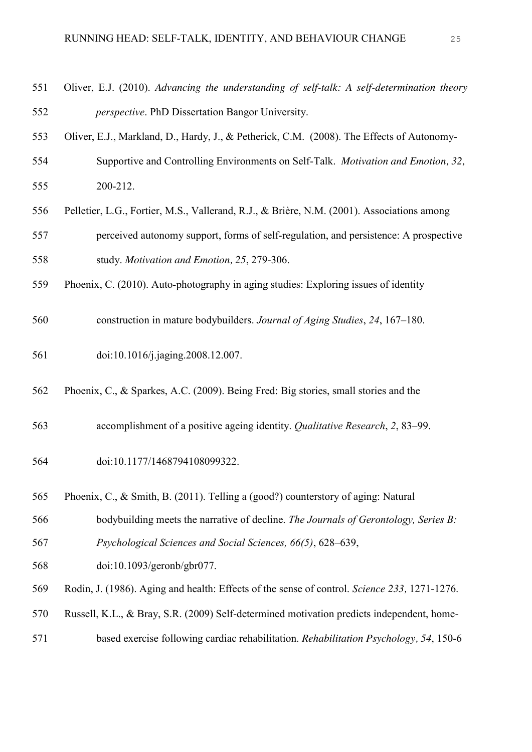- Oliver, E.J. (2010). *Advancing the understanding of self-talk: A self-determination theory perspective*. PhD Dissertation Bangor University.
- Oliver, E.J., Markland, D., Hardy, J., & Petherick, C.M. (2008). The Effects of Autonomy-
- Supportive and Controlling Environments on Self-Talk. *Motivation and Emotion, 32,*  200-212.
- Pelletier, L.G., Fortier, M.S., Vallerand, R.J., & Brière, N.M. (2001). Associations among perceived autonomy support, forms of self-regulation, and persistence: A prospective study. *Motivation and Emotion, 25*, 279-306.
- Phoenix, C. (2010). Auto-photography in aging studies: Exploring issues of identity
- construction in mature bodybuilders. *Journal of Aging Studies*, *24*, 167–180.
- doi:10.1016/j.jaging.2008.12.007.
- Phoenix, C., & Sparkes, A.C. (2009). Being Fred: Big stories, small stories and the
- accomplishment of a positive ageing identity. *Qualitative Research*, *2*, 83–99.
- doi:10.1177/1468794108099322.
- Phoenix, C., & Smith, B. (2011). Telling a (good?) counterstory of aging: Natural
- bodybuilding meets the narrative of decline. *The Journals of Gerontology, Series B: Psychological Sciences and Social Sciences, 66(5)*, 628–639,
- doi:10.1093/geronb/gbr077.
- Rodin, J. (1986). Aging and health: Effects of the sense of control. *Science 233,* 1271-1276.
- Russell, K.L., & Bray, S.R. (2009) Self-determined motivation predicts independent, home-
- based exercise following cardiac rehabilitation. *Rehabilitation Psychology, 54*, 150-6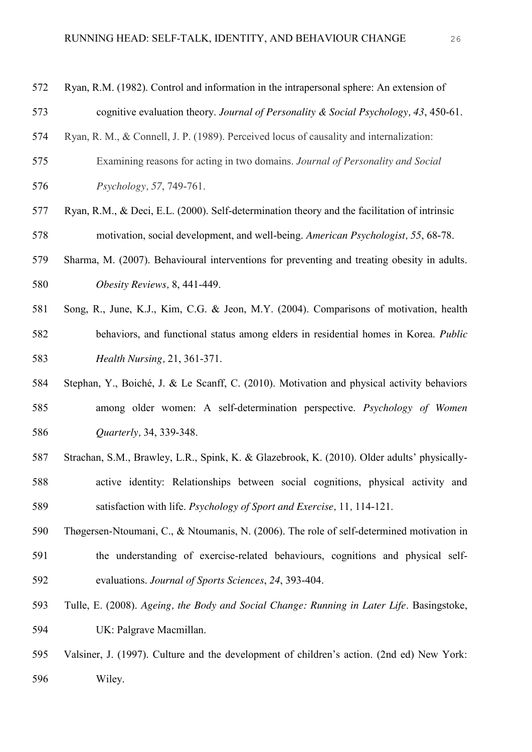- Ryan, R.M. (1982). Control and information in the intrapersonal sphere: An extension of cognitive evaluation theory. *Journal of Personality & Social Psychology, 43*, 450-61.
- Ryan, R. M., & Connell, J. P. (1989). Perceived locus of causality and internalization:
- Examining reasons for acting in two domains. *Journal of Personality and Social Psychology, 57*, 749-761.
- Ryan, R.M., & Deci, E.L. (2000). Self-determination theory and the facilitation of intrinsic motivation, social development, and well-being. *American Psychologist, 55*, 68-78.
- Sharma, M. (2007). Behavioural interventions for preventing and treating obesity in adults. *Obesity Reviews,* 8, 441-449.
- Song, R., June, K.J., Kim, C.G. & Jeon, M.Y. (2004). Comparisons of motivation, health behaviors, and functional status among elders in residential homes in Korea. *Public Health Nursing,* 21, 361-371.
- Stephan, Y., Boiché, J. & Le Scanff, C. (2010). Motivation and physical activity behaviors among older women: A self-determination perspective. *Psychology of Women Quarterly,* 34, 339-348.
- Strachan, S.M., Brawley, L.R., Spink, K. & Glazebrook, K. (2010). Older adults' physically- active identity: Relationships between social cognitions, physical activity and satisfaction with life. *Psychology of Sport and Exercise,* 11*,* 114-121.
- Thøgersen-Ntoumani, C., & Ntoumanis, N. (2006). The role of self-determined motivation in the understanding of exercise-related behaviours, cognitions and physical self-evaluations. *Journal of Sports Sciences*, *24*, 393-404.
- Tulle, E. (2008). *Ageing, the Body and Social Change: Running in Later Life*. Basingstoke, UK: Palgrave Macmillan.
- Valsiner, J. (1997). Culture and the development of children's action. (2nd ed) New York: Wiley.